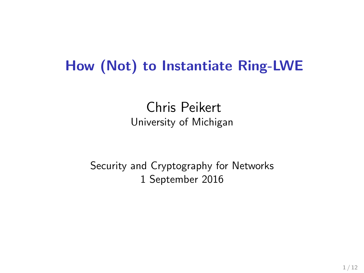#### How (Not) to Instantiate Ring-LWE

Chris Peikert University of Michigan

Security and Cryptography for Networks 1 September 2016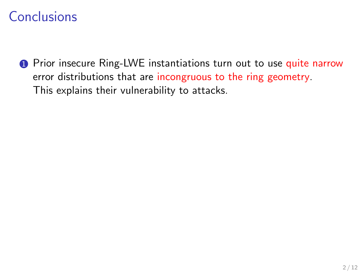**1** Prior insecure Ring-LWE instantiations turn out to use quite narrow error distributions that are incongruous to the ring geometry. This explains their vulnerability to attacks.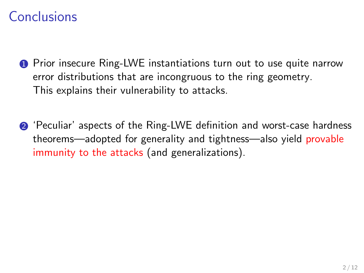- **1** Prior insecure Ring-LWE instantiations turn out to use quite narrow error distributions that are incongruous to the ring geometry. This explains their vulnerability to attacks.
- 2 'Peculiar' aspects of the Ring-LWE definition and worst-case hardness theorems—adopted for generality and tightness—also yield provable immunity to the attacks (and generalizations).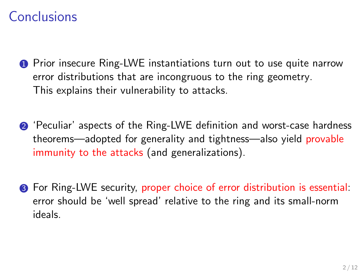- **1** Prior insecure Ring-LWE instantiations turn out to use quite narrow error distributions that are incongruous to the ring geometry. This explains their vulnerability to attacks.
- 2 'Peculiar' aspects of the Ring-LWE definition and worst-case hardness theorems—adopted for generality and tightness—also yield provable immunity to the attacks (and generalizations).
- 3 For Ring-LWE security, proper choice of error distribution is essential: error should be 'well spread' relative to the ring and its small-norm ideals.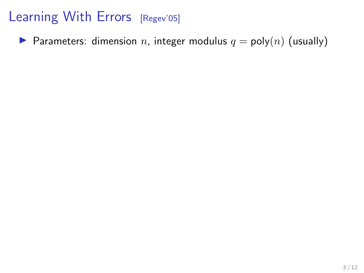**Parameters:** dimension n, integer modulus  $q = \text{poly}(n)$  (usually)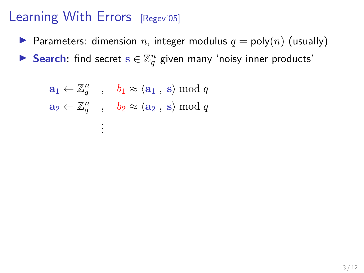- **Parameters:** dimension n, integer modulus  $q = \text{poly}(n)$  (usually)
- Search: find secret  $s \in \mathbb{Z}_q^n$  given many 'noisy inner products'

$$
a_1 \leftarrow \mathbb{Z}_q^n
$$
,  $b_1 \approx \langle a_1, s \rangle \mod q$   
\n $a_2 \leftarrow \mathbb{Z}_q^n$ ,  $b_2 \approx \langle a_2, s \rangle \mod q$   
\n $\vdots$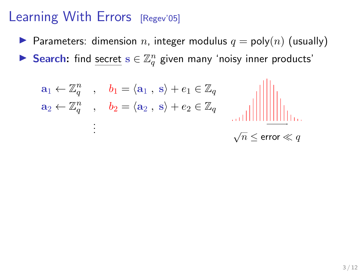- **Parameters:** dimension n, integer modulus  $q = \text{poly}(n)$  (usually)
- Search: find secret  $s \in \mathbb{Z}_q^n$  given many 'noisy inner products'

$$
\mathbf{a}_1 \leftarrow \mathbb{Z}_q^n \quad , \quad \mathbf{b}_1 = \langle \mathbf{a}_1 \,, \, \mathbf{s} \rangle + \mathbf{e}_1 \in \mathbb{Z}_q
$$
\n
$$
\mathbf{a}_2 \leftarrow \mathbb{Z}_q^n \quad , \quad \mathbf{b}_2 = \langle \mathbf{a}_2 \,, \, \mathbf{s} \rangle + \mathbf{e}_2 \in \mathbb{Z}_q \quad \text{and} \quad \text{and} \quad \text{and} \quad \text{and} \quad \text{and} \quad \text{and} \quad \text{and} \quad \text{and} \quad \text{and} \quad \text{and} \quad \text{and} \quad \text{and} \quad \text{and} \quad \text{and} \quad \text{and} \quad \text{and} \quad \text{and} \quad \text{and} \quad \text{and} \quad \text{and} \quad \text{and} \quad \text{and} \quad \text{and} \quad \text{and} \quad \text{and} \quad \text{and} \quad \text{and} \quad \text{and} \quad \text{and} \quad \text{and} \quad \text{and} \quad \text{and} \quad \text{and} \quad \text{and} \quad \text{and} \quad \text{and} \quad \text{and} \quad \text{and} \quad \text{and} \quad \text{and} \quad \text{and} \quad \text{and} \quad \text{and} \quad \text{and} \quad \text{and} \quad \text{and} \quad \text{and} \quad \text{and} \quad \text{and} \quad \text{and} \quad \text{and} \quad \text{and} \quad \text{and} \quad \text{and} \quad \text{and} \quad \text{and} \quad \text{and} \quad \text{and} \quad \text{and} \quad \text{and} \quad \text{and} \quad \text{and} \quad \text{and} \quad \text{and} \quad \text{and} \quad \text{and} \quad \text{and} \quad \text{and} \quad \text{and} \quad \text{and} \quad \text{and} \quad \text{and} \quad \text{and} \quad \text{and} \quad \text{and} \quad \text{and} \quad \text{and} \quad \text{and} \quad \text{and} \quad \text{and} \quad \text{and} \quad \text{and} \quad \text{and} \quad \text{and} \quad \text{and} \quad \text{and} \quad \text{and} \quad \text{and
$$

$$
\sqrt{n} \leq \text{error} \ll q
$$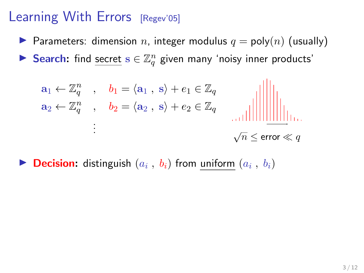- **Parameters:** dimension n, integer modulus  $q = \text{poly}(n)$  (usually)
- Search: find secret  $s \in \mathbb{Z}_q^n$  given many 'noisy inner products'

$$
a_1 \leftarrow \mathbb{Z}_q^n \quad , \quad b_1 = \langle a_1 \,, \, s \rangle + e_1 \in \mathbb{Z}_q
$$
  
\n
$$
a_2 \leftarrow \mathbb{Z}_q^n \quad , \quad b_2 = \langle a_2 \,, \, s \rangle + e_2 \in \mathbb{Z}_q \quad \text{and} \quad \text{and} \quad \text{and} \quad \text{and} \quad \text{and} \quad \text{and} \quad \text{and} \quad \text{and} \quad \text{and} \quad \text{and} \quad \text{and} \quad \text{and} \quad \text{and} \quad \text{and} \quad \text{and} \quad \text{and} \quad \text{and} \quad \text{and} \quad \text{and} \quad \text{and} \quad \text{and} \quad \text{and} \quad \text{and} \quad \text{and} \quad \text{and} \quad \text{and} \quad \text{and} \quad \text{and} \quad \text{and} \quad \text{and} \quad \text{and} \quad \text{and} \quad \text{and} \quad \text{and} \quad \text{and} \quad \text{and} \quad \text{and} \quad \text{and} \quad \text{and} \quad \text{and} \quad \text{and} \quad \text{and} \quad \text{and} \quad \text{and} \quad \text{and} \quad \text{and} \quad \text{and} \quad \text{and} \quad \text{and} \quad \text{and} \quad \text{and} \quad \text{and} \quad \text{and} \quad \text{and} \quad \text{and} \quad \text{and} \quad \text{and} \quad \text{and} \quad \text{and} \quad \text{and} \quad \text{and} \quad \text{and} \quad \text{and} \quad \text{and} \quad \text{and} \quad \text{and} \quad \text{and} \quad \text{and} \quad \text{and} \quad \text{and} \quad \text{and} \quad \text{and} \quad \text{and} \quad \text{and} \quad \text{and} \quad \text{and} \quad \text{and} \quad \text{and} \quad \text{and} \quad \text{and} \quad \text{and} \quad \text{and} \quad \text{and} \quad \text{and} \quad \text{and} \quad \text{and} \quad \text{and} \quad \text{and} \quad \text{and} \quad \text{and} \quad \text{and} \quad \text{and} \quad \text{and}
$$

**Decision:** distinguish  $(a_i, b_i)$  from uniform  $(a_i, b_i)$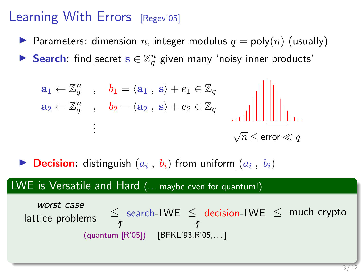- **Parameters:** dimension n, integer modulus  $q = \text{poly}(n)$  (usually)
- Search: find secret  $s \in \mathbb{Z}_q^n$  given many 'noisy inner products'

$$
\mathbf{a}_1 \leftarrow \mathbb{Z}_q^n \quad , \quad b_1 = \langle \mathbf{a}_1 \,, \, \mathbf{s} \rangle + e_1 \in \mathbb{Z}_q
$$
\n
$$
\mathbf{a}_2 \leftarrow \mathbb{Z}_q^n \quad , \quad b_2 = \langle \mathbf{a}_2 \,, \, \mathbf{s} \rangle + e_2 \in \mathbb{Z}_q \quad \text{and} \quad \text{and} \quad \text{and} \quad \text{and} \quad \text{and} \quad \text{and} \quad \text{and} \quad \text{and} \quad \text{and} \quad \text{and} \quad \text{and} \quad \text{and} \quad \text{and} \quad \text{and} \quad \text{and} \quad \text{and} \quad \text{and} \quad \text{and} \quad \text{and} \quad \text{and} \quad \text{and} \quad \text{and} \quad \text{and} \quad \text{and} \quad \text{and} \quad \text{and} \quad \text{and} \quad \text{and} \quad \text{and} \quad \text{and} \quad \text{and} \quad \text{and} \quad \text{and} \quad \text{and} \quad \text{and} \quad \text{and} \quad \text{and} \quad \text{and} \quad \text{and} \quad \text{and} \quad \text{and} \quad \text{and} \quad \text{and} \quad \text{and} \quad \text{and} \quad \text{and} \quad \text{and} \quad \text{and} \quad \text{and} \quad \text{and} \quad \text{and} \quad \text{and} \quad \text{and} \quad \text{and} \quad \text{and} \quad \text{and} \quad \text{and} \quad \text{and} \quad \text{and} \quad \text{and} \quad \text{and} \quad \text{and} \quad \text{and} \quad \text{and} \quad \text{and} \quad \text{and} \quad \text{and} \quad \text{and} \quad \text{and} \quad \text{and} \quad \text{and} \quad \text{and} \quad \text{and} \quad \text{and} \quad \text{and} \quad \text{and} \quad \text{and} \quad \text{and} \quad \text{and} \quad \text{and} \quad \text{and} \quad \text{and} \quad \text{and} \quad \text{and} \quad \text{and} \quad \text{and} \quad \text{and} \quad \text{and} \quad \text{and} \quad \text{and} \
$$

**Decision:** distinguish  $(a_i, b_i)$  from uniform  $(a_i, b_i)$ 

#### LWE is Versatile and Hard (... maybe even for quantum!)

worst case lattice problems (quantum [R'05]) [BFKL'93,R'05,. . . ] search-LWE ≤ decision-LWE ≤ much crypto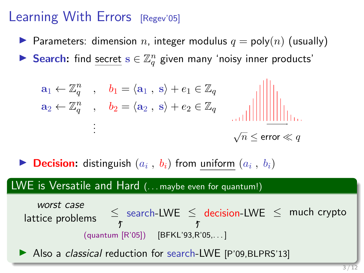- **Parameters:** dimension n, integer modulus  $q = \text{poly}(n)$  (usually)
- Search: find secret  $s \in \mathbb{Z}_q^n$  given many 'noisy inner products'

$$
\mathbf{a}_1 \leftarrow \mathbb{Z}_q^n \quad , \quad b_1 = \langle \mathbf{a}_1 \,, \, \mathbf{s} \rangle + e_1 \in \mathbb{Z}_q
$$
\n
$$
\mathbf{a}_2 \leftarrow \mathbb{Z}_q^n \quad , \quad b_2 = \langle \mathbf{a}_2 \,, \, \mathbf{s} \rangle + e_2 \in \mathbb{Z}_q \quad \text{and} \quad \text{and} \quad \text{and} \quad \text{and} \quad \text{and} \quad \text{and} \quad \text{and} \quad \text{and} \quad \text{and} \quad \text{and} \quad \text{and} \quad \text{and} \quad \text{and} \quad \text{and} \quad \text{and} \quad \text{and} \quad \text{and} \quad \text{and} \quad \text{and} \quad \text{and} \quad \text{and} \quad \text{and} \quad \text{and} \quad \text{and} \quad \text{and} \quad \text{and} \quad \text{and} \quad \text{and} \quad \text{and} \quad \text{and} \quad \text{and} \quad \text{and} \quad \text{and} \quad \text{and} \quad \text{and} \quad \text{and} \quad \text{and} \quad \text{and} \quad \text{and} \quad \text{and} \quad \text{and} \quad \text{and} \quad \text{and} \quad \text{and} \quad \text{and} \quad \text{and} \quad \text{and} \quad \text{and} \quad \text{and} \quad \text{and} \quad \text{and} \quad \text{and} \quad \text{and} \quad \text{and} \quad \text{and} \quad \text{and} \quad \text{and} \quad \text{and} \quad \text{and} \quad \text{and} \quad \text{and} \quad \text{and} \quad \text{and} \quad \text{and} \quad \text{and} \quad \text{and} \quad \text{and} \quad \text{and} \quad \text{and} \quad \text{and} \quad \text{and} \quad \text{and} \quad \text{and} \quad \text{and} \quad \text{and} \quad \text{and} \quad \text{and} \quad \text{and} \quad \text{and} \quad \text{and} \quad \text{and} \quad \text{and} \quad \text{and} \quad \text{and} \quad \text{and} \quad \text{and} \quad \text{and} \quad \text{and} \quad \text{and} \quad \text{and} \
$$

**Decision:** distinguish  $(a_i, b_i)$  from uniform  $(a_i, b_i)$ 

#### LWE is Versatile and Hard (... maybe even for quantum!)

worst case lattice problems (quantum [R'05]) [BFKL'93,R'05,. . . ] search-LWE ≤ decision-LWE ≤ much crypto

Also a *classical* reduction for search-LWE [P'09,BLPRS'13]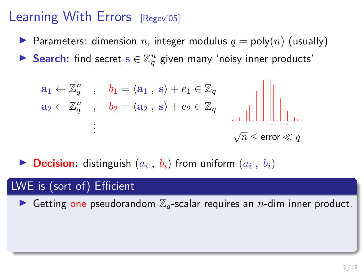- **Parameters:** dimension n, integer modulus  $q = \text{poly}(n)$  (usually)
- Search: find secret  $s \in \mathbb{Z}_q^n$  given many 'noisy inner products'

$$
\mathbf{a}_1 \leftarrow \mathbb{Z}_q^n \quad , \quad b_1 = \langle \mathbf{a}_1 \,, \, \mathbf{s} \rangle + e_1 \in \mathbb{Z}_q
$$
\n
$$
\mathbf{a}_2 \leftarrow \mathbb{Z}_q^n \quad , \quad b_2 = \langle \mathbf{a}_2 \,, \, \mathbf{s} \rangle + e_2 \in \mathbb{Z}_q \quad \text{and} \quad \text{and} \quad \text{and} \quad \text{and} \quad \text{and} \quad \text{and} \quad \text{and} \quad \text{and} \quad \text{and} \quad \text{and} \quad \text{and} \quad \text{and} \quad \text{and} \quad \text{and} \quad \text{and} \quad \text{and} \quad \text{and} \quad \text{and} \quad \text{and} \quad \text{and} \quad \text{and} \quad \text{and} \quad \text{and} \quad \text{and} \quad \text{and} \quad \text{and} \quad \text{and} \quad \text{and} \quad \text{and} \quad \text{and} \quad \text{and} \quad \text{and} \quad \text{and} \quad \text{and} \quad \text{and} \quad \text{and} \quad \text{and} \quad \text{and} \quad \text{and} \quad \text{and} \quad \text{and} \quad \text{and} \quad \text{and} \quad \text{and} \quad \text{and} \quad \text{and} \quad \text{and} \quad \text{and} \quad \text{and} \quad \text{and} \quad \text{and} \quad \text{and} \quad \text{and} \quad \text{and} \quad \text{and} \quad \text{and} \quad \text{and} \quad \text{and} \quad \text{and} \quad \text{and} \quad \text{and} \quad \text{and} \quad \text{and} \quad \text{and} \quad \text{and} \quad \text{and} \quad \text{and} \quad \text{and} \quad \text{and} \quad \text{and} \quad \text{and} \quad \text{and} \quad \text{and} \quad \text{and} \quad \text{and} \quad \text{and} \quad \text{and} \quad \text{and} \quad \text{and} \quad \text{and} \quad \text{and} \quad \text{and} \quad \text{and} \quad \text{and} \quad \text{and} \quad \text{and} \quad \text{and} \quad \text{and} \quad \text{and} \quad \text{and} \
$$

**Decision:** distinguish  $(a_i, b_i)$  from uniform  $(a_i, b_i)$ 

#### LWE is (sort of) Efficient

Getting one pseudorandom  $\mathbb{Z}_q$ -scalar requires an *n*-dim inner product.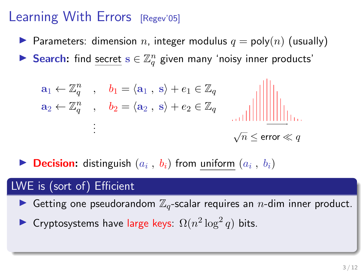- **Parameters:** dimension n, integer modulus  $q = \text{poly}(n)$  (usually)
- Search: find secret  $s \in \mathbb{Z}_q^n$  given many 'noisy inner products'

$$
\mathbf{a}_1 \leftarrow \mathbb{Z}_q^n \quad , \quad \mathbf{b}_1 = \langle \mathbf{a}_1 \,, \, \mathbf{s} \rangle + \mathbf{e}_1 \in \mathbb{Z}_q
$$
\n
$$
\mathbf{a}_2 \leftarrow \mathbb{Z}_q^n \quad , \quad \mathbf{b}_2 = \langle \mathbf{a}_2 \,, \, \mathbf{s} \rangle + \mathbf{e}_2 \in \mathbb{Z}_q \quad \text{and} \quad \text{and} \quad \text{and} \quad \text{and} \quad \text{and} \quad \text{and} \quad \text{and} \quad \text{and} \quad \text{and} \quad \text{and} \quad \text{and} \quad \text{and} \quad \text{and} \quad \text{and} \quad \text{and} \quad \text{and} \quad \text{and} \quad \text{and} \quad \text{and} \quad \text{and} \quad \text{and} \quad \text{and} \quad \text{and} \quad \text{and} \quad \text{and} \quad \text{and} \quad \text{and} \quad \text{and} \quad \text{and} \quad \text{and} \quad \text{and} \quad \text{and} \quad \text{and} \quad \text{and} \quad \text{and} \quad \text{and} \quad \text{and} \quad \text{and} \quad \text{and} \quad \text{and} \quad \text{and} \quad \text{and} \quad \text{and} \quad \text{and} \quad \text{and} \quad \text{and} \quad \text{and} \quad \text{and} \quad \text{and} \quad \text{and} \quad \text{and} \quad \text{and} \quad \text{and} \quad \text{and} \quad \text{and} \quad \text{and} \quad \text{and} \quad \text{and} \quad \text{and} \quad \text{and} \quad \text{and} \quad \text{and} \quad \text{and} \quad \text{and} \quad \text{and} \quad \text{and} \quad \text{and} \quad \text{and} \quad \text{and} \quad \text{and} \quad \text{and} \quad \text{and} \quad \text{and} \quad \text{and} \quad \text{and} \quad \text{and} \quad \text{and} \quad \text{and} \quad \text{and} \quad \text{and} \quad \text{and} \quad \text{and} \quad \text{and} \quad \text{and} \quad \text{and} \quad \text{and} \quad \text{and} \quad \text{and
$$

**Decision:** distinguish  $(a_i, b_i)$  from uniform  $(a_i, b_i)$ 

#### LWE is (sort of) Efficient

- Getting one pseudorandom  $\mathbb{Z}_q$ -scalar requires an *n*-dim inner product.
- ► Cryptosystems have large keys:  $\Omega(n^2 \log^2 q)$  bits.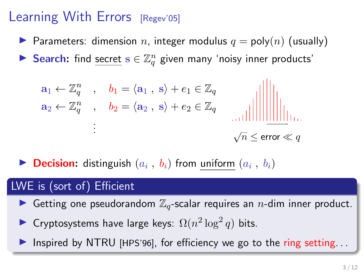- **Parameters:** dimension n, integer modulus  $q = \text{poly}(n)$  (usually)
- Search: find secret  $s \in \mathbb{Z}_q^n$  given many 'noisy inner products'

$$
\mathbf{a}_1 \leftarrow \mathbb{Z}_q^n \quad , \quad \mathbf{b}_1 = \langle \mathbf{a}_1 \,, \, \mathbf{s} \rangle + \mathbf{e}_1 \in \mathbb{Z}_q
$$
\n
$$
\mathbf{a}_2 \leftarrow \mathbb{Z}_q^n \quad , \quad \mathbf{b}_2 = \langle \mathbf{a}_2 \,, \, \mathbf{s} \rangle + \mathbf{e}_2 \in \mathbb{Z}_q \quad \text{and} \quad \text{and} \quad \text{and} \quad \text{and} \quad \text{and} \quad \text{and} \quad \text{and} \quad \text{and} \quad \text{and} \quad \text{and} \quad \text{and} \quad \text{and} \quad \text{and} \quad \text{and} \quad \text{and} \quad \text{and} \quad \text{and} \quad \text{and} \quad \text{and} \quad \text{and} \quad \text{and} \quad \text{and} \quad \text{and} \quad \text{and} \quad \text{and} \quad \text{and} \quad \text{and} \quad \text{and} \quad \text{and} \quad \text{and} \quad \text{and} \quad \text{and} \quad \text{and} \quad \text{and} \quad \text{and} \quad \text{and} \quad \text{and} \quad \text{and} \quad \text{and} \quad \text{and} \quad \text{and} \quad \text{and} \quad \text{and} \quad \text{and} \quad \text{and} \quad \text{and} \quad \text{and} \quad \text{and} \quad \text{and} \quad \text{and} \quad \text{and} \quad \text{and} \quad \text{and} \quad \text{and} \quad \text{and} \quad \text{and} \quad \text{and} \quad \text{and} \quad \text{and} \quad \text{and} \quad \text{and} \quad \text{and} \quad \text{and} \quad \text{and} \quad \text{and} \quad \text{and} \quad \text{and} \quad \text{and} \quad \text{and} \quad \text{and} \quad \text{and} \quad \text{and} \quad \text{and} \quad \text{and} \quad \text{and} \quad \text{and} \quad \text{and} \quad \text{and} \quad \text{and} \quad \text{and} \quad \text{and} \quad \text{and} \quad \text{and} \quad \text{and} \quad \text{and} \quad \text{and} \quad \text{and} \quad \text{and
$$

**Decision:** distinguish  $(a_i, b_i)$  from uniform  $(a_i, b_i)$ 

#### LWE is (sort of) Efficient

- Getting one pseudorandom  $\mathbb{Z}_q$ -scalar requires an *n*-dim inner product.
- ► Cryptosystems have large keys:  $\Omega(n^2 \log^2 q)$  bits.
- Inspired by NTRU [HPS'96], for efficiency we go to the ring setting...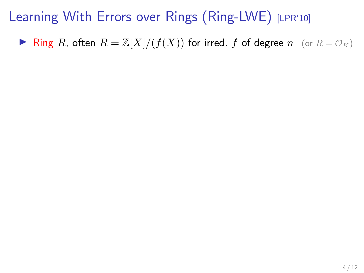**If** Ring R, often  $R = \mathbb{Z}[X]/(f(X))$  for irred. f of degree  $n$  (or  $R = \mathcal{O}_K$ )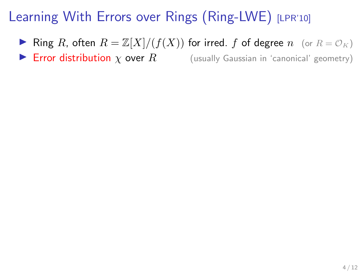- **If** Ring R, often  $R = \mathbb{Z}[X]/(f(X))$  for irred. f of degree  $n \quad (\text{or } R = \mathcal{O}_K)$
- **Error distribution**  $\chi$  over  $R$  (usually Gaussian in 'canonical' geometry)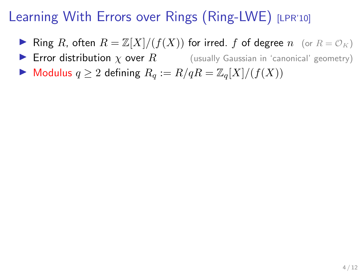- **If** Ring R, often  $R = \mathbb{Z}[X]/(f(X))$  for irred. f of degree n (or  $R = \mathcal{O}_K$ )
- **Error distribution**  $\chi$  over  $R$  (usually Gaussian in 'canonical' geometry)
- $\blacktriangleright$  Modulus  $q \geq 2$  defining  $R_q := R/qR = \mathbb{Z}_q[X]/(f(X))$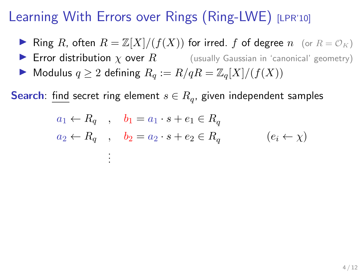- **If** Ring R, often  $R = \mathbb{Z}[X]/(f(X))$  for irred. f of degree n (or  $R = \mathcal{O}_K$ )
- **Error distribution**  $\chi$  over  $R$  (usually Gaussian in 'canonical' geometry)
- $\blacktriangleright$  Modulus  $q \geq 2$  defining  $R_q := R/qR = \mathbb{Z}_q[X]/(f(X))$

. . .

**Search**: find secret ring element  $s \in R_q$ , given independent samples

$$
a_1 \leftarrow R_q \quad , \quad b_1 = a_1 \cdot s + e_1 \in R_q
$$
  

$$
a_2 \leftarrow R_q \quad , \quad b_2 = a_2 \cdot s + e_2 \in R_q \qquad (e_i \leftarrow \chi)
$$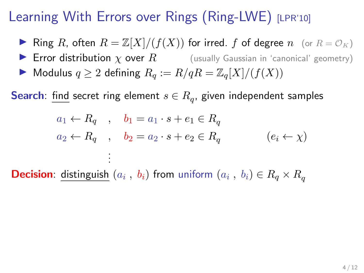- **If** Ring R, often  $R = \mathbb{Z}[X]/(f(X))$  for irred. f of degree n (or  $R = \mathcal{O}_K$ )
- **IF Error distribution**  $\chi$  over  $R$  (usually Gaussian in 'canonical' geometry)
- $\blacktriangleright$  Modulus  $q \geq 2$  defining  $R_q := R/qR = \mathbb{Z}_q[X]/(f(X))$

**Search**: find secret ring element  $s \in R_q$ , given independent samples

$$
a_1 \leftarrow R_q , b_1 = a_1 \cdot s + e_1 \in R_q
$$
  

$$
a_2 \leftarrow R_q , b_2 = a_2 \cdot s + e_2 \in R_q
$$
  

$$
(e_i \leftarrow \chi)
$$

**Decision**: distinguish  $(a_i, b_i)$  from uniform  $(a_i, b_i) \in R_q \times R_q$ 

. . .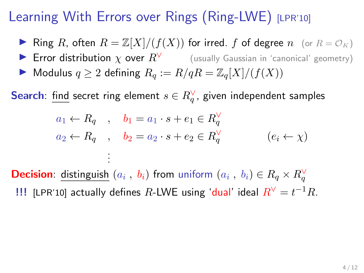- **If** Ring R, often  $R = \mathbb{Z}[X]/(f(X))$  for irred. f of degree n (or  $R = \mathcal{O}_K$ )
- **IF** Error distribution  $\chi$  over  $R^{\vee}$  (usually Gaussian in 'canonical' geometry)
- $\blacktriangleright$  Modulus  $q \geq 2$  defining  $R_q := R/qR = \mathbb{Z}_q[X]/(f(X))$

. . .

**Search**: find secret ring element  $s \in R_q^{\vee}$ , given independent samples

$$
a_1 \leftarrow R_q \quad , \quad b_1 = a_1 \cdot s + e_1 \in R_q^{\vee}
$$
  

$$
a_2 \leftarrow R_q \quad , \quad b_2 = a_2 \cdot s + e_2 \in R_q^{\vee} \qquad (e_i \leftarrow \chi)
$$

**Decision**: distinguish  $(a_i, b_i)$  from uniform  $(a_i, b_i) \in R_q \times R_q^{\vee}$ !!! [LPR'10] actually defines R-LWE using 'dual' ideal  $R^{\vee} = t^{-1}R$ .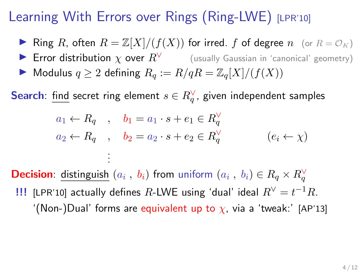- **If** Ring R, often  $R = \mathbb{Z}[X]/(f(X))$  for irred. f of degree n (or  $R = \mathcal{O}_K$ )
- **IF** Error distribution  $\chi$  over  $R^{\vee}$  (usually Gaussian in 'canonical' geometry)
- $\blacktriangleright$  Modulus  $q \geq 2$  defining  $R_q := R/qR = \mathbb{Z}_q[X]/(f(X))$

. . .

**Search**: find secret ring element  $s \in R_q^{\vee}$ , given independent samples

$$
a_1 \leftarrow R_q \quad , \quad b_1 = a_1 \cdot s + e_1 \in R_q^{\vee}
$$
  

$$
a_2 \leftarrow R_q \quad , \quad b_2 = a_2 \cdot s + e_2 \in R_q^{\vee} \qquad (e_i \leftarrow \chi)
$$

**Decision**: distinguish  $(a_i, b_i)$  from uniform  $(a_i, b_i) \in R_q \times R_q^{\vee}$ !!! [LPR'10] actually defines R-LWE using 'dual' ideal  $R^{\vee} = t^{-1}R$ . '(Non-)Dual' forms are equivalent up to  $\chi$ , via a 'tweak:' [AP'13]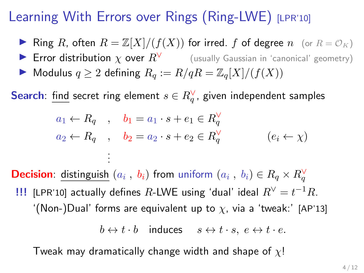- **If** Ring R, often  $R = \mathbb{Z}[X]/(f(X))$  for irred. f of degree n (or  $R = \mathcal{O}_K$ )
- **IF** Error distribution  $\chi$  over  $R^{\vee}$  (usually Gaussian in 'canonical' geometry)
- $\blacktriangleright$  Modulus  $q \geq 2$  defining  $R_q := R/qR = \mathbb{Z}_q[X]/(f(X))$

. . .

**Search**: find secret ring element  $s \in R_q^{\vee}$ , given independent samples

$$
a_1 \leftarrow R_q \quad , \quad b_1 = a_1 \cdot s + e_1 \in R_q^{\vee}
$$
  

$$
a_2 \leftarrow R_q \quad , \quad b_2 = a_2 \cdot s + e_2 \in R_q^{\vee} \qquad (e_i \leftarrow \chi)
$$

**Decision**: distinguish  $(a_i, b_i)$  from uniform  $(a_i, b_i) \in R_q \times R_q^{\vee}$ !!! [LPR'10] actually defines R-LWE using 'dual' ideal  $R^{\vee} = t^{-1}R$ . '(Non-)Dual' forms are equivalent up to  $\chi$ , via a 'tweak:' [AP'13]

$$
b \leftrightarrow t \cdot b \quad \text{induces} \quad s \leftrightarrow t \cdot s, \ e \leftrightarrow t \cdot e.
$$

Tweak may dramatically change width and shape of  $\chi$ !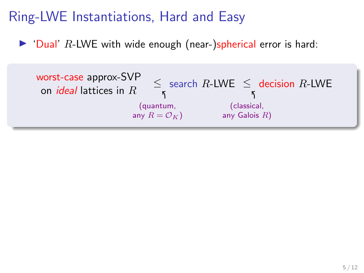$\triangleright$  'Dual' R-LWE with wide enough (near-)spherical error is hard:

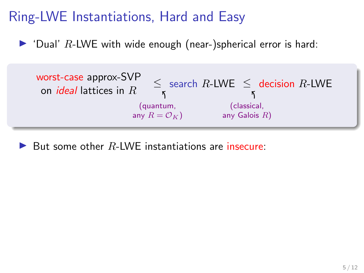$\triangleright$  'Dual' R-LWE with wide enough (near-)spherical error is hard:



But some other  $R$ -LWE instantiations are insecure: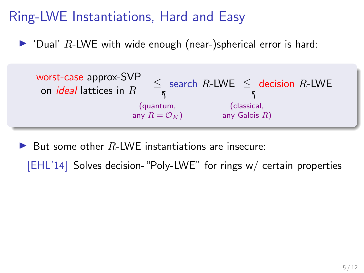$\triangleright$  'Dual' R-LWE with wide enough (near-)spherical error is hard:



But some other  $R$ -LWE instantiations are insecure:

[EHL'14] Solves decision-"Poly-LWE" for rings w/ certain properties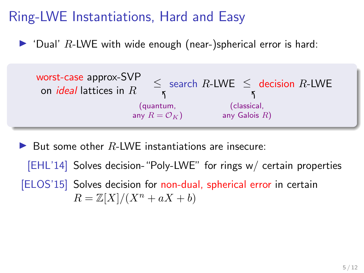$\triangleright$  'Dual' R-LWE with wide enough (near-)spherical error is hard:



But some other  $R$ -LWE instantiations are insecure: [EHL'14] Solves decision-"Poly-LWE" for rings w/ certain properties [ELOS'15] Solves decision for non-dual, spherical error in certain  $R = \mathbb{Z}[X]/(X^n + aX + b)$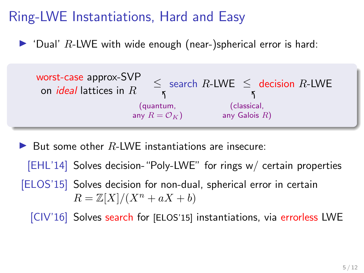$\triangleright$  'Dual' R-LWE with wide enough (near-)spherical error is hard:



But some other  $R$ -LWE instantiations are insecure:

[EHL'14] Solves decision-"Poly-LWE" for rings w/ certain properties [ELOS'15] Solves decision for non-dual, spherical error in certain  $R = \mathbb{Z}[X]/(X^n + aX + b)$ 

[CIV'16] Solves search for [ELOS'15] instantiations, via errorless LWE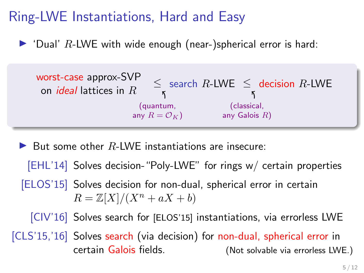$\triangleright$  'Dual' R-LWE with wide enough (near-)spherical error is hard:



But some other  $R$ -LWE instantiations are insecure:

[EHL'14] Solves decision-"Poly-LWE" for rings w/ certain properties [ELOS'15] Solves decision for non-dual, spherical error in certain  $R = \mathbb{Z}[X]/(X^n + aX + b)$ [CIV'16] Solves search for [ELOS'15] instantiations, via errorless LWE [CLS'15,'16] Solves search (via decision) for non-dual, spherical error in certain Galois fields. (Not solvable via errorless LWE.)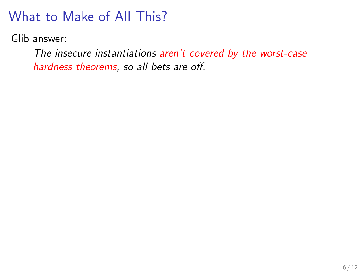Glib answer:

The insecure instantiations aren't covered by the worst-case hardness theorems, so all bets are off.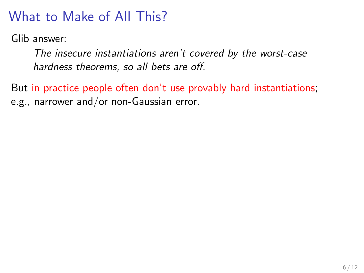Glib answer:

The insecure instantiations aren't covered by the worst-case hardness theorems, so all bets are off.

But in practice people often don't use provably hard instantiations; e.g., narrower and/or non-Gaussian error.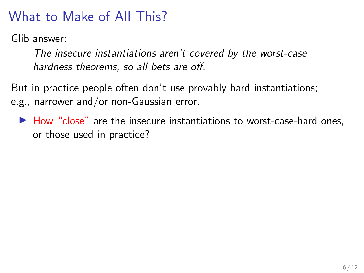Glib answer:

The insecure instantiations aren't covered by the worst-case hardness theorems, so all bets are off.

But in practice people often don't use provably hard instantiations; e.g., narrower and/or non-Gaussian error.

 $\blacktriangleright$  How "close" are the insecure instantiations to worst-case-hard ones, or those used in practice?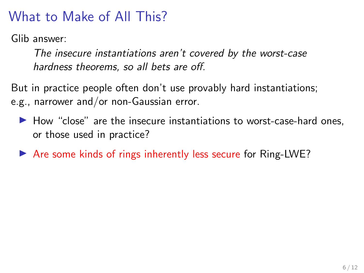Glib answer:

The insecure instantiations aren't covered by the worst-case hardness theorems, so all bets are off.

But in practice people often don't use provably hard instantiations; e.g., narrower and/or non-Gaussian error.

- $\blacktriangleright$  How "close" are the insecure instantiations to worst-case-hard ones, or those used in practice?
- $\triangleright$  Are some kinds of rings inherently less secure for Ring-LWE?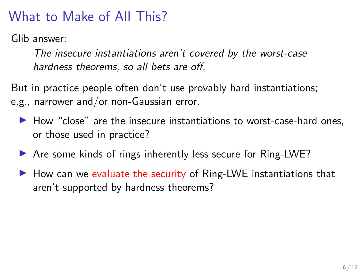Glib answer:

The insecure instantiations aren't covered by the worst-case hardness theorems, so all bets are off.

But in practice people often don't use provably hard instantiations; e.g., narrower and/or non-Gaussian error.

- $\blacktriangleright$  How "close" are the insecure instantiations to worst-case-hard ones, or those used in practice?
- $\triangleright$  Are some kinds of rings inherently less secure for Ring-LWE?
- $\blacktriangleright$  How can we evaluate the security of Ring-LWE instantiations that aren't supported by hardness theorems?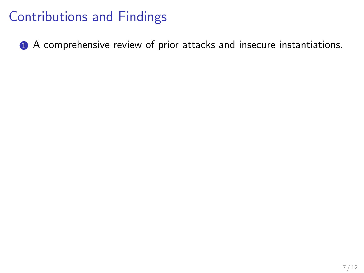**1** A comprehensive review of prior attacks and insecure instantiations.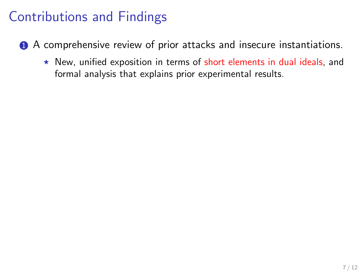- **1** A comprehensive review of prior attacks and insecure instantiations.
	- $\star$  New, unified exposition in terms of short elements in dual ideals, and formal analysis that explains prior experimental results.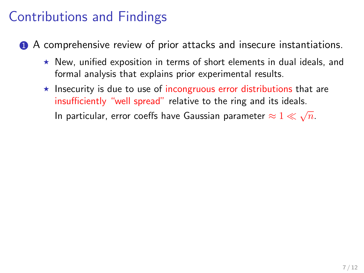- **1** A comprehensive review of prior attacks and insecure instantiations.
	- $\star$  New, unified exposition in terms of short elements in dual ideals, and formal analysis that explains prior experimental results.
	- $\star$  Insecurity is due to use of incongruous error distributions that are insufficiently "well spread" relative to the ring and its ideals. In particular, error coeffs have Gaussian parameter  $\approx 1 \ll \sqrt{n}$ .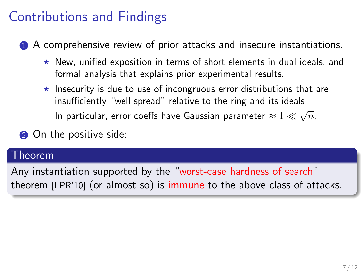**1** A comprehensive review of prior attacks and insecure instantiations.

- $\star$  New, unified exposition in terms of short elements in dual ideals, and formal analysis that explains prior experimental results.
- $\star$  Insecurity is due to use of incongruous error distributions that are insufficiently "well spread" relative to the ring and its ideals. In particular, error coeffs have Gaussian parameter  $\approx 1 \ll \sqrt{n}$ .
- **2** On the positive side:

#### Theorem

Any instantiation supported by the "worst-case hardness of search" theorem [LPR'10] (or almost so) is immune to the above class of attacks.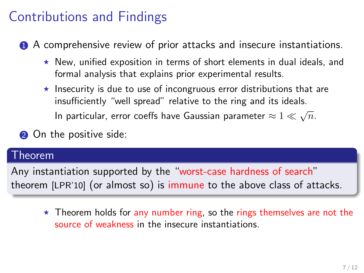**1** A comprehensive review of prior attacks and insecure instantiations.

- $\star$  New, unified exposition in terms of short elements in dual ideals, and formal analysis that explains prior experimental results.
- $\star$  Insecurity is due to use of incongruous error distributions that are insufficiently "well spread" relative to the ring and its ideals. In particular, error coeffs have Gaussian parameter  $\approx 1 \ll \sqrt{n}$ .

**2** On the positive side:

#### Theorem

Any instantiation supported by the "worst-case hardness of search" theorem [LPR'10] (or almost so) is immune to the above class of attacks.

 $\star$  Theorem holds for any number ring, so the rings themselves are not the source of weakness in the insecure instantiations.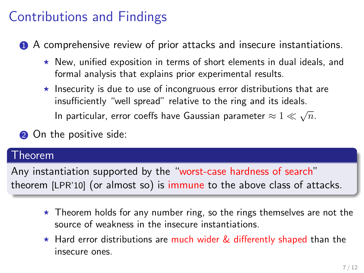**1** A comprehensive review of prior attacks and insecure instantiations.

- $\star$  New, unified exposition in terms of short elements in dual ideals, and formal analysis that explains prior experimental results.
- $\star$  Insecurity is due to use of incongruous error distributions that are insufficiently "well spread" relative to the ring and its ideals. In particular, error coeffs have Gaussian parameter  $\approx 1 \ll \sqrt{n}$ .

**2** On the positive side:

#### Theorem

Any instantiation supported by the "worst-case hardness of search" theorem [LPR'10] (or almost so) is immune to the above class of attacks.

- $\star$  Theorem holds for any number ring, so the rings themselves are not the source of weakness in the insecure instantiations.
- $\star$  Hard error distributions are much wider & differently shaped than the insecure ones.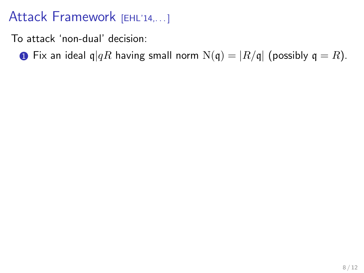To attack 'non-dual' decision:

**I** Fix an ideal  $q|qR$  having small norm  $N(q) = |R/q|$  (possibly  $q = R$ ).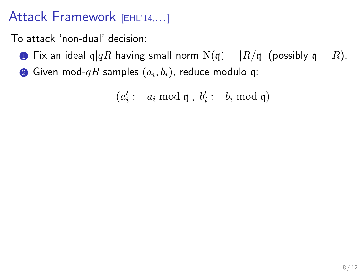To attack 'non-dual' decision:

- **1** Fix an ideal q $|qR$  having small norm  $N(q) = |R/q|$  (possibly  $q = R$ ).
- $\bullet$  Given mod- $qR$  samples  $(a_i,b_i)$ , reduce modulo q:

$$
(a_i':=a_i \bmod \mathfrak{q} \;,\; b_i':=b_i \bmod \mathfrak{q})
$$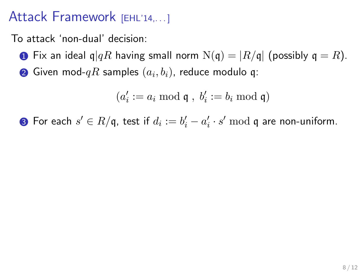To attack 'non-dual' decision:

- **1** Fix an ideal q $|qR$  having small norm  $N(q) = |R/q|$  (possibly  $q = R$ ).
- $\bullet$  Given mod- $qR$  samples  $(a_i,b_i)$ , reduce modulo q:

 $(a'_i := a_i \bmod \mathfrak{q} , b'_i := b_i \bmod \mathfrak{q})$ 

**3** For each  $s' \in R/\mathfrak{q}$ , test if  $d_i := b'_i - a'_i \cdot s' \bmod \mathfrak{q}$  are non-uniform.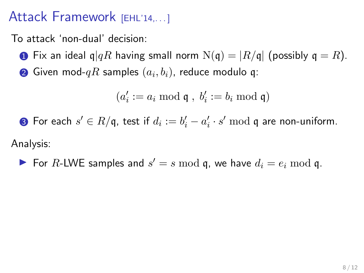To attack 'non-dual' decision:

- **I** Fix an ideal  $q|qR$  having small norm  $N(q) = |R/q|$  (possibly  $q = R$ ).
- $\bullet$  Given mod- $qR$  samples  $(a_i,b_i)$ , reduce modulo q:

 $(a'_i := a_i \bmod \mathfrak{q} , b'_i := b_i \bmod \mathfrak{q})$ 

**3** For each  $s' \in R/\mathfrak{q}$ , test if  $d_i := b'_i - a'_i \cdot s' \bmod \mathfrak{q}$  are non-uniform.

Analysis:

 $\blacktriangleright$  For R-LWE samples and  $s' = s \mod q$ , we have  $d_i = e_i \mod q$ .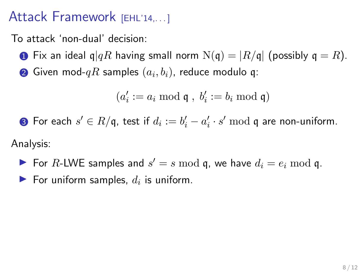To attack 'non-dual' decision:

- **1** Fix an ideal q $|qR$  having small norm  $N(q) = |R/q|$  (possibly  $q = R$ ).
- $\bullet$  Given mod- $qR$  samples  $(a_i,b_i)$ , reduce modulo q:

$$
(a'_i:=a_i \bmod \mathfrak{q} \;,\; b'_i:=b_i \bmod \mathfrak{q})
$$

**3** For each  $s' \in R/\mathfrak{q}$ , test if  $d_i := b'_i - a'_i \cdot s' \bmod \mathfrak{q}$  are non-uniform.

Analysis:

- $\blacktriangleright$  For R-LWE samples and  $s' = s \mod q$ , we have  $d_i = e_i \mod q$ .
- For uniform samples,  $d_i$  is uniform.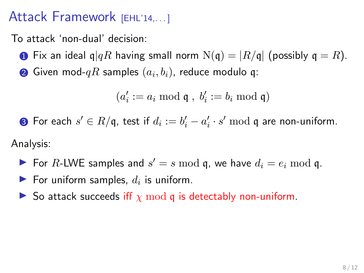To attack 'non-dual' decision:

- **1** Fix an ideal q $|qR$  having small norm  $N(q) = |R/q|$  (possibly  $q = R$ ).
- $\bullet$  Given mod- $qR$  samples  $(a_i,b_i)$ , reduce modulo q:

$$
(a_i':=a_i \bmod \mathfrak{q} \;,\; b_i':=b_i \bmod \mathfrak{q})
$$

**3** For each  $s' \in R/\mathfrak{q}$ , test if  $d_i := b'_i - a'_i \cdot s' \bmod \mathfrak{q}$  are non-uniform.

Analysis:

- $\blacktriangleright$  For R-LWE samples and  $s' = s \mod q$ , we have  $d_i = e_i \mod q$ .
- For uniform samples,  $d_i$  is uniform.
- $\triangleright$  So attack succeeds iff  $\chi \mod q$  is detectably non-uniform.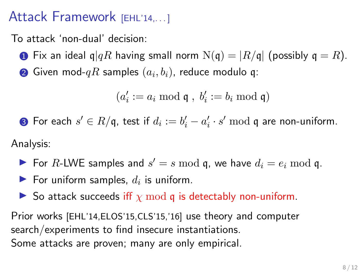To attack 'non-dual' decision:

- **1** Fix an ideal q $|qR$  having small norm  $N(q) = |R/q|$  (possibly  $q = R$ ).
- $\bullet$  Given mod- $qR$  samples  $(a_i,b_i)$ , reduce modulo q:

$$
(a_i':=a_i \bmod \mathfrak{q} \;,\; b_i':=b_i \bmod \mathfrak{q})
$$

**3** For each  $s' \in R/\mathfrak{q}$ , test if  $d_i := b'_i - a'_i \cdot s' \bmod \mathfrak{q}$  are non-uniform.

Analysis:

- $\blacktriangleright$  For R-LWE samples and  $s' = s \mod q$ , we have  $d_i = e_i \mod q$ .
- For uniform samples,  $d_i$  is uniform.
- So attack succeeds iff  $\chi \mod q$  is detectably non-uniform.

Prior works [EHL'14,ELOS'15,CLS'15,'16] use theory and computer search/experiments to find insecure instantiations. Some attacks are proven; many are only empirical.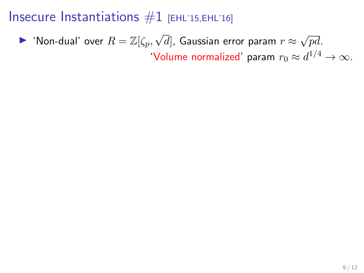#### Insecure Instantiations  $#1$  [EHL'15,EHL'16]

 $\blacktriangleright$  'Non-dual' over  $R=\mathbb{Z}[\zeta_p,\sqrt{2}]$  $d]$ , Gaussian error param  $r \approx$ √ pd. 'Volume normalized' param  $r_0 \approx d^{1/4} \to \infty$ .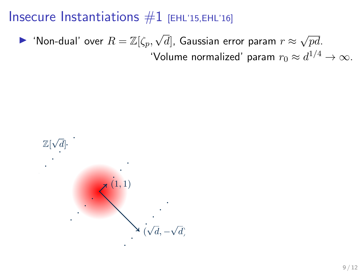#### Insecure Instantiations  $#1$  [EHL'15, EHL'16]

 $\blacktriangleright$  'Non-dual' over  $R=\mathbb{Z}[\zeta_p,\sqrt{2}]$  $d]$ , Gaussian error param  $r \approx$ √ pd. 'Volume normalized' param  $r_0 \approx d^{1/4} \to \infty.$ 

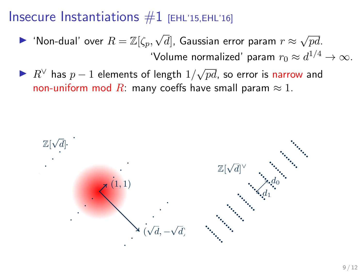#### Insecure Instantiations  $#1$  [EHL'15, EHL'16]

- $\blacktriangleright$  'Non-dual' over  $R=\mathbb{Z}[\zeta_p,\sqrt{2}]$  $d]$ , Gaussian error param  $r \approx$ √ pd. 'Volume normalized' param  $r_0 \approx d^{1/4} \to \infty.$
- ▶  $R^{\vee}$  has  $p-1$  elements of length  $1/\sqrt{2}$  $pd$ , so error is narrow and non-uniform mod R: many coeffs have small param  $\approx 1$ .

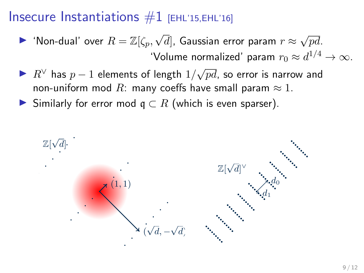#### Insecure Instantiations  $#1$  [EHL'15,EHL'16]

- $\blacktriangleright$  'Non-dual' over  $R=\mathbb{Z}[\zeta_p,\sqrt{2}]$  $d]$ , Gaussian error param  $r \approx$ √ pd. 'Volume normalized' param  $r_0 \approx d^{1/4} \to \infty.$
- ▶  $R^{\vee}$  has  $p-1$  elements of length  $1/\sqrt{2}$  $pd$ , so error is narrow and non-uniform mod R: many coeffs have small param  $\approx 1$ .
- Similarly for error mod  $q \subset R$  (which is even sparser).

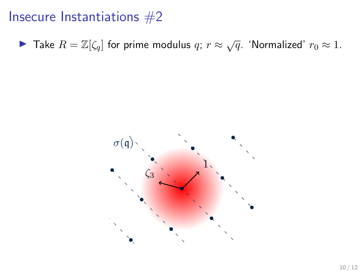▶ Take  $R = \mathbb{Z}[\zeta_q]$  for prime modulus  $q; r \approx \sqrt{q}$ . 'Normalized'  $r_0 \approx 1$ .

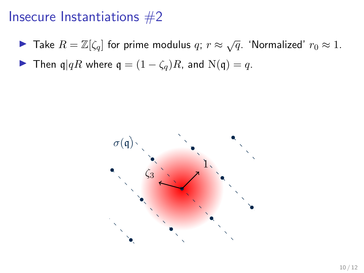- ▶ Take  $R = \mathbb{Z}[\zeta_q]$  for prime modulus  $q; r \approx \sqrt{q}$ . 'Normalized'  $r_0 \approx 1$ .
- **►** Then  $\mathfrak{q} | qR$  where  $\mathfrak{q} = (1 \zeta_q)R$ , and  $N(\mathfrak{q}) = q$ .

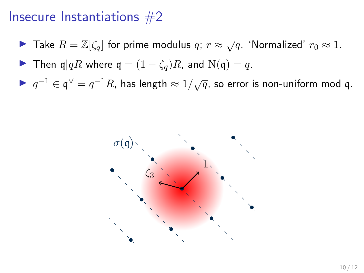- ▶ Take  $R = \mathbb{Z}[\zeta_q]$  for prime modulus  $q; r \approx \sqrt{q}$ . 'Normalized'  $r_0 \approx 1$ .
- **►** Then  $q|qR$  where  $q = (1 \zeta_q)R$ , and  $N(q) = q$ .
- ►  $q^{-1} \in \mathfrak{q}^{\vee} = q^{-1}R$ , has length  $\approx 1/\sqrt{q}$ , so error is non-uniform mod q.

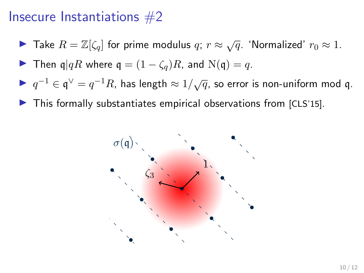- ▶ Take  $R = \mathbb{Z}[\zeta_q]$  for prime modulus  $q; r \approx \sqrt{q}$ . 'Normalized'  $r_0 \approx 1$ .
- **►** Then  $q|qR$  where  $q = (1 \zeta_q)R$ , and  $N(q) = q$ .
- ►  $q^{-1} \in \mathfrak{q}^{\vee} = q^{-1}R$ , has length  $\approx 1/\sqrt{q}$ , so error is non-uniform mod q.
- $\blacktriangleright$  This formally substantiates empirical observations from [CLS'15].

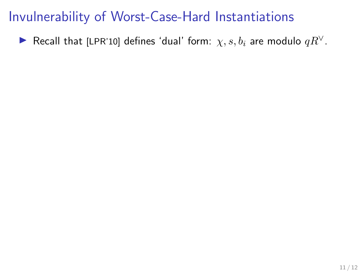► Recall that [LPR'10] defines 'dual' form:  $\chi$ ,  $s$ ,  $b_i$  are modulo  $qR^{\vee}$ .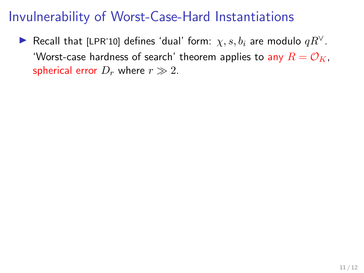► Recall that [LPR'10] defines 'dual' form:  $\chi, s, b_i$  are modulo  $qR^{\vee}$ . 'Worst-case hardness of search' theorem applies to any  $R = \mathcal{O}_K$ , spherical error  $D_r$  where  $r \gg 2$ .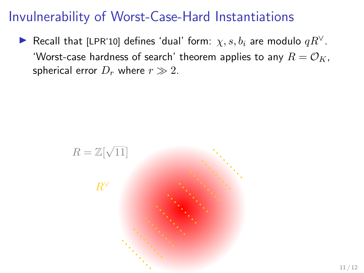► Recall that [LPR'10] defines 'dual' form:  $\chi, s, b_i$  are modulo  $qR^{\vee}$ . 'Worst-case hardness of search' theorem applies to any  $R = \mathcal{O}_K$ , spherical error  $D_r$  where  $r \gg 2$ .

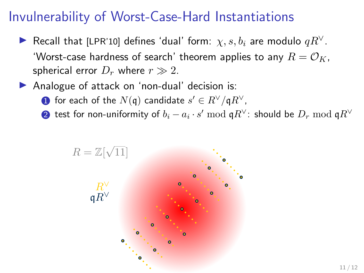- ► Recall that [LPR'10] defines 'dual' form:  $\chi, s, b_i$  are modulo  $qR^{\vee}$ . 'Worst-case hardness of search' theorem applies to any  $R = \mathcal{O}_K$ , spherical error  $D_r$  where  $r \gg 2$ .
- Analogue of attack on 'non-dual' decision is:
	- $\textbf{0}$  for each of the  $N(\mathfrak{q})$  candidate  $s' \in R^\vee / \mathfrak{q} R^\vee$ ,
	- $\boldsymbol{2}$  test for non-uniformity of  $b_i a_i \cdot s' \bmod \mathfrak{q} R^\vee$ : should be  $D_r \bmod \mathfrak{q} R^\vee$

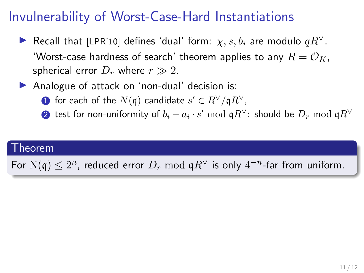- ► Recall that [LPR'10] defines 'dual' form:  $\chi, s, b_i$  are modulo  $qR^{\vee}$ . 'Worst-case hardness of search' theorem applies to any  $R = \mathcal{O}_K$ , spherical error  $D_r$  where  $r \gg 2$ .
- Analogue of attack on 'non-dual' decision is:
	- $\textbf{0}$  for each of the  $N(\mathfrak{q})$  candidate  $s' \in R^\vee / \mathfrak{q} R^\vee$ ,
	- $\boldsymbol{2}$  test for non-uniformity of  $b_i a_i \cdot s' \bmod \mathfrak{q} R^\vee$ : should be  $D_r \bmod \mathfrak{q} R^\vee$

#### Theorem

For  $N(\mathfrak{q}) \leq 2^n$ , reduced error  $D_r \bmod \mathfrak{q} R^\vee$  is only  $4^{-n}$ -far from uniform.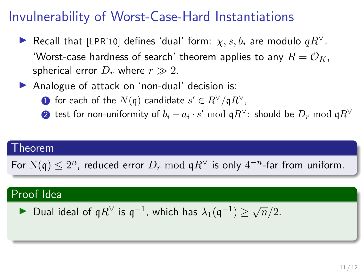- ► Recall that [LPR'10] defines 'dual' form:  $\chi, s, b_i$  are modulo  $qR^{\vee}$ . 'Worst-case hardness of search' theorem applies to any  $R = \mathcal{O}_K$ , spherical error  $D_r$  where  $r \gg 2$ .
- Analogue of attack on 'non-dual' decision is:
	- $\textbf{0}$  for each of the  $N(\mathfrak{q})$  candidate  $s' \in R^\vee / \mathfrak{q} R^\vee$ ,
	- $\boldsymbol{2}$  test for non-uniformity of  $b_i a_i \cdot s' \bmod \mathfrak{q} R^\vee$ : should be  $D_r \bmod \mathfrak{q} R^\vee$

#### Theorem

For  $N(\mathfrak{q}) \leq 2^n$ , reduced error  $D_r \bmod \mathfrak{q} R^\vee$  is only  $4^{-n}$ -far from uniform.

#### Proof Idea

► Dual ideal of 
$$
qR^{\vee}
$$
 is  $q^{-1}$ , which has  $\lambda_1(q^{-1}) \ge \sqrt{n}/2$ .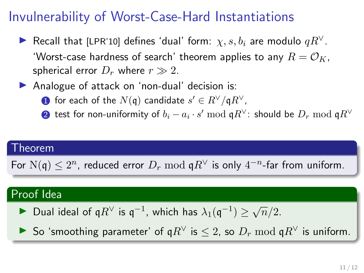- ► Recall that [LPR'10] defines 'dual' form:  $\chi, s, b_i$  are modulo  $qR^{\vee}$ . 'Worst-case hardness of search' theorem applies to any  $R = \mathcal{O}_K$ , spherical error  $D_r$  where  $r \gg 2$ .
- Analogue of attack on 'non-dual' decision is:
	- $\textbf{0}$  for each of the  $N(\mathfrak{q})$  candidate  $s' \in R^\vee / \mathfrak{q} R^\vee$ ,
	- $\boldsymbol{2}$  test for non-uniformity of  $b_i a_i \cdot s' \bmod \mathfrak{q} R^\vee$ : should be  $D_r \bmod \mathfrak{q} R^\vee$

#### Theorem

For  $N(\mathfrak{q}) \leq 2^n$ , reduced error  $D_r \bmod \mathfrak{q} R^\vee$  is only  $4^{-n}$ -far from uniform.

#### Proof Idea

- ► Dual ideal of q $R^{\vee}$  is q<sup>-1</sup>, which has  $\lambda_1(\mathfrak{q}^{-1}) \ge \sqrt{n}/2$ .
- **IF** So 'smoothing parameter' of  $qR^{\vee}$  is  $\leq 2$ , so  $D_r \mod qR^{\vee}$  is uniform.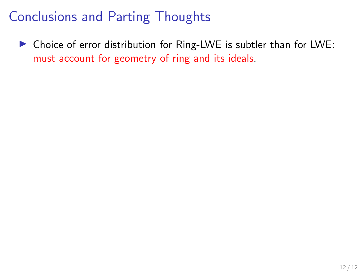$\triangleright$  Choice of error distribution for Ring-LWE is subtler than for LWE: must account for geometry of ring and its ideals.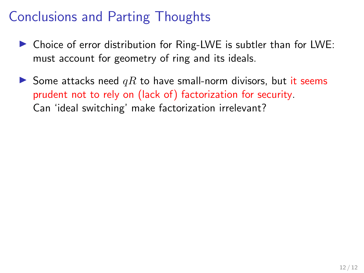- $\triangleright$  Choice of error distribution for Ring-LWE is subtler than for LWE: must account for geometry of ring and its ideals.
- Some attacks need  $qR$  to have small-norm divisors, but it seems prudent not to rely on (lack of) factorization for security. Can 'ideal switching' make factorization irrelevant?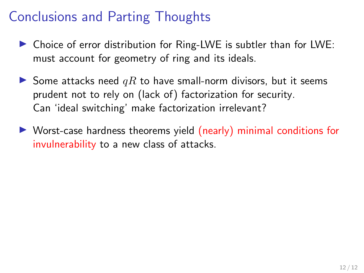- $\triangleright$  Choice of error distribution for Ring-LWE is subtler than for LWE: must account for geometry of ring and its ideals.
- Some attacks need  $qR$  to have small-norm divisors, but it seems prudent not to rely on (lack of) factorization for security. Can 'ideal switching' make factorization irrelevant?
- $\triangleright$  Worst-case hardness theorems yield (nearly) minimal conditions for invulnerability to a new class of attacks.